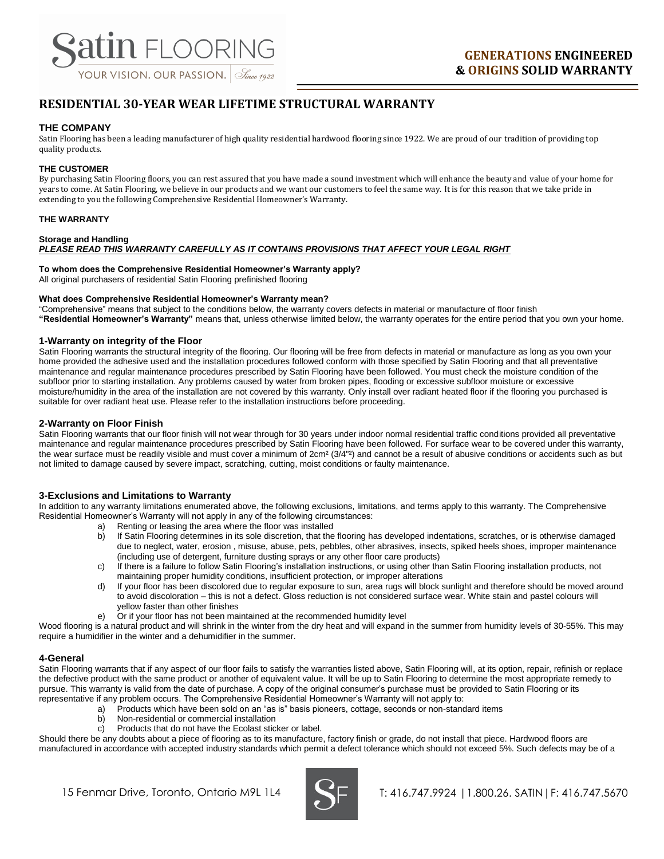# **RESIDENTIAL 30-YEAR WEAR LIFETIME STRUCTURAL WARRANTY**

# **THE COMPANY**

Satin Flooring has been a leading manufacturer of high quality residential hardwood flooring since 1922. We are proud of our tradition of providing top quality products.

# **THE CUSTOMER**

By purchasing Satin Flooring floors, you can rest assured that you have made a sound investment which will enhance the beauty and value of your home for years to come. At Satin Flooring, we believe in our products and we want our customers to feel the same way. It is for this reason that we take pride in extending to you the following Comprehensive Residential Homeowner's Warranty.

# **THE WARRANTY**

### **Storage and Handling**  *PLEASE READ THIS WARRANTY CAREFULLY AS IT CONTAINS PROVISIONS THAT AFFECT YOUR LEGAL RIGHT*

# **To whom does the Comprehensive Residential Homeowner's Warranty apply?**

All original purchasers of residential Satin Flooring prefinished flooring

#### **What does Comprehensive Residential Homeowner's Warranty mean?**

"Comprehensive" means that subject to the conditions below, the warranty covers defects in material or manufacture of floor finish **"Residential Homeowner's Warranty"** means that, unless otherwise limited below, the warranty operates for the entire period that you own your home.

# **1-Warranty on integrity of the Floor**

Satin Flooring warrants the structural integrity of the flooring. Our flooring will be free from defects in material or manufacture as long as you own your home provided the adhesive used and the installation procedures followed conform with those specified by Satin Flooring and that all preventative maintenance and regular maintenance procedures prescribed by Satin Flooring have been followed. You must check the moisture condition of the subfloor prior to starting installation. Any problems caused by water from broken pipes, flooding or excessive subfloor moisture or excessive moisture/humidity in the area of the installation are not covered by this warranty. Only install over radiant heated floor if the flooring you purchased is suitable for over radiant heat use. Please refer to the installation instructions before proceeding.

# **2-Warranty on Floor Finish**

Satin Flooring warrants that our floor finish will not wear through for 30 years under indoor normal residential traffic conditions provided all preventative maintenance and regular maintenance procedures prescribed by Satin Flooring have been followed. For surface wear to be covered under this warranty, the wear surface must be readily visible and must cover a minimum of  $2 \text{cm}^2 (3/4"^2)$  and cannot be a result of abusive conditions or accidents such as but not limited to damage caused by severe impact, scratching, cutting, moist conditions or faulty maintenance.

# **3-Exclusions and Limitations to Warranty**

In addition to any warranty limitations enumerated above, the following exclusions, limitations, and terms apply to this warranty. The Comprehensive Residential Homeowner's Warranty will not apply in any of the following circumstances:

- Renting or leasing the area where the floor was installed
- b) If Satin Flooring determines in its sole discretion, that the flooring has developed indentations, scratches, or is otherwise damaged due to neglect, water, erosion , misuse, abuse, pets, pebbles, other abrasives, insects, spiked heels shoes, improper maintenance (including use of detergent, furniture dusting sprays or any other floor care products)
- c) If there is a failure to follow Satin Flooring's installation instructions, or using other than Satin Flooring installation products, not maintaining proper humidity conditions, insufficient protection, or improper alterations
- d) If your floor has been discolored due to regular exposure to sun, area rugs will block sunlight and therefore should be moved around to avoid discoloration – this is not a defect. Gloss reduction is not considered surface wear. White stain and pastel colours will yellow faster than other finishes
- e) Or if your floor has not been maintained at the recommended humidity level

Wood flooring is a natural product and will shrink in the winter from the dry heat and will expand in the summer from humidity levels of 30-55%. This may require a humidifier in the winter and a dehumidifier in the summer.

#### **4-General**

Satin Flooring warrants that if any aspect of our floor fails to satisfy the warranties listed above, Satin Flooring will, at its option, repair, refinish or replace the defective product with the same product or another of equivalent value. It will be up to Satin Flooring to determine the most appropriate remedy to pursue. This warranty is valid from the date of purchase. A copy of the original consumer's purchase must be provided to Satin Flooring or its representative if any problem occurs. The Comprehensive Residential Homeowner's Warranty will not apply to:

- a) Products which have been sold on an "as is" basis pioneers, cottage, seconds or non-standard items
- b) Non-residential or commercial installation
- c) Products that do not have the Ecolast sticker or label.

Should there be any doubts about a piece of flooring as to its manufacture, factory finish or grade, do not install that piece. Hardwood floors are manufactured in accordance with accepted industry standards which permit a defect tolerance which should not exceed 5%. Such defects may be of a